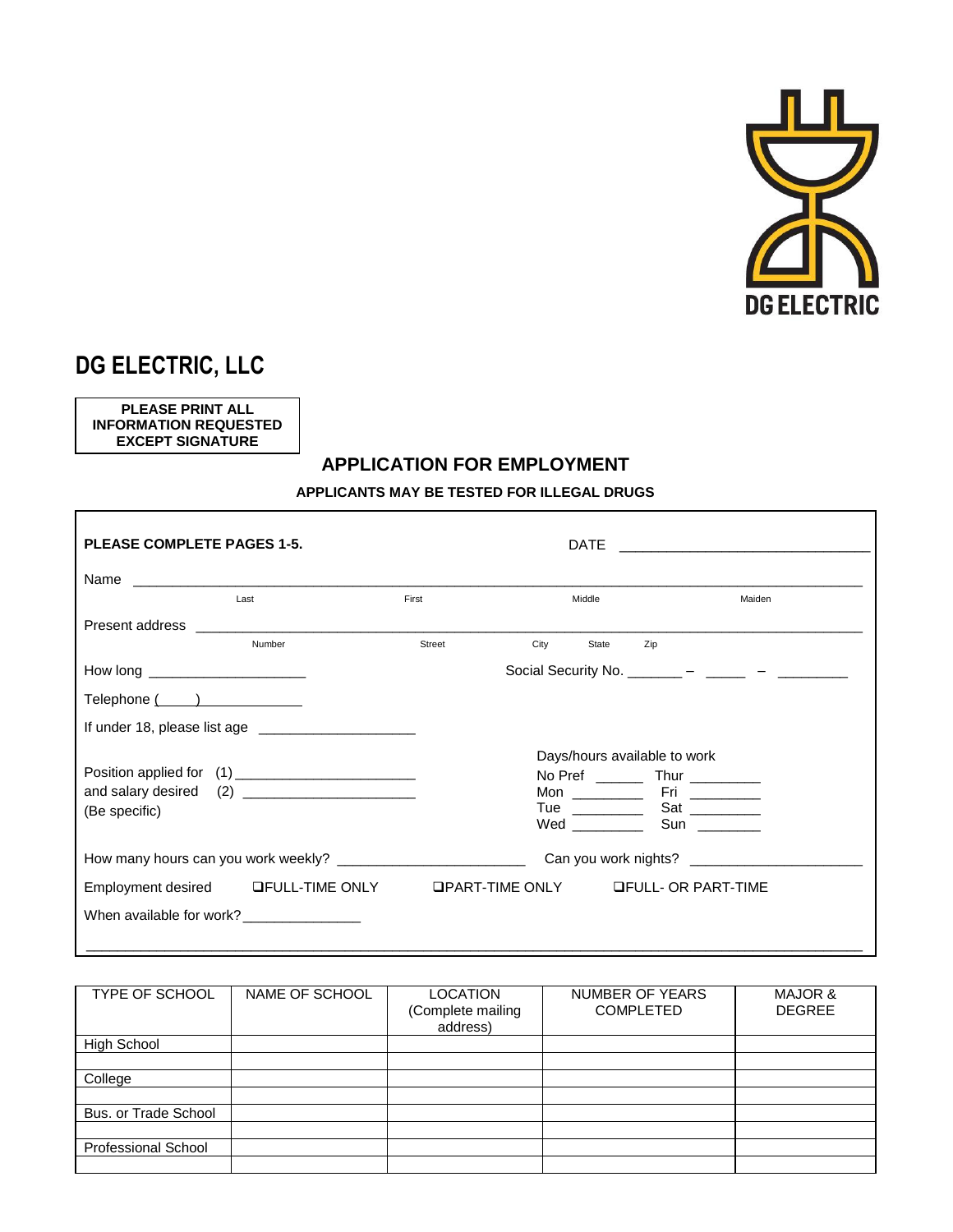

## **DG ELECTRIC, LLC**

**PLEASE PRINT ALL INFORMATION REQUESTED EXCEPT SIGNATURE**

## **APPLICATION FOR EMPLOYMENT**

**APPLICANTS MAY BE TESTED FOR ILLEGAL DRUGS**

| <b>PLEASE COMPLETE PAGES 1-5.</b>                                                             |                                                                                                                                                                                                                                |        |                                            |       |                                       |                                                |
|-----------------------------------------------------------------------------------------------|--------------------------------------------------------------------------------------------------------------------------------------------------------------------------------------------------------------------------------|--------|--------------------------------------------|-------|---------------------------------------|------------------------------------------------|
|                                                                                               |                                                                                                                                                                                                                                |        |                                            |       |                                       |                                                |
|                                                                                               | Last                                                                                                                                                                                                                           | First  | Middle                                     |       |                                       | Maiden                                         |
|                                                                                               | Present address and the control of the control of the control of the control of the control of the control of the control of the control of the control of the control of the control of the control of the control of the con |        |                                            |       |                                       |                                                |
|                                                                                               | Number                                                                                                                                                                                                                         | Street | City                                       | State | Zip                                   |                                                |
| How long _________________________                                                            |                                                                                                                                                                                                                                |        |                                            |       |                                       | Social Security No. _______ - _____ - ______ - |
| $\mathsf{Telephone} \left( \begin{array}{c} \begin{array}{c} \end{array} \end{array} \right)$ |                                                                                                                                                                                                                                |        |                                            |       |                                       |                                                |
|                                                                                               |                                                                                                                                                                                                                                |        |                                            |       |                                       |                                                |
|                                                                                               |                                                                                                                                                                                                                                |        |                                            |       | Days/hours available to work          |                                                |
|                                                                                               |                                                                                                                                                                                                                                |        |                                            |       |                                       |                                                |
|                                                                                               |                                                                                                                                                                                                                                |        |                                            |       |                                       |                                                |
| (Be specific)                                                                                 |                                                                                                                                                                                                                                |        | Tue $\qquad \qquad$                        |       | Sat ________                          |                                                |
|                                                                                               |                                                                                                                                                                                                                                |        | Wed _________                              |       | Sun $\frac{1}{2}$                     |                                                |
|                                                                                               |                                                                                                                                                                                                                                |        |                                            |       | Can you work nights? ________________ |                                                |
|                                                                                               | Employment desired LIFULL-TIME ONLY                                                                                                                                                                                            |        | <b>QPART-TIME ONLY GEULL- OR PART-TIME</b> |       |                                       |                                                |
|                                                                                               | When available for work? _______________                                                                                                                                                                                       |        |                                            |       |                                       |                                                |
|                                                                                               |                                                                                                                                                                                                                                |        |                                            |       |                                       |                                                |

| <b>TYPE OF SCHOOL</b>      | NAME OF SCHOOL | <b>LOCATION</b><br>(Complete mailing<br>address) | NUMBER OF YEARS<br><b>COMPLETED</b> | MAJOR &<br><b>DEGREE</b> |
|----------------------------|----------------|--------------------------------------------------|-------------------------------------|--------------------------|
| <b>High School</b>         |                |                                                  |                                     |                          |
|                            |                |                                                  |                                     |                          |
| College                    |                |                                                  |                                     |                          |
|                            |                |                                                  |                                     |                          |
| Bus, or Trade School       |                |                                                  |                                     |                          |
|                            |                |                                                  |                                     |                          |
| <b>Professional School</b> |                |                                                  |                                     |                          |
|                            |                |                                                  |                                     |                          |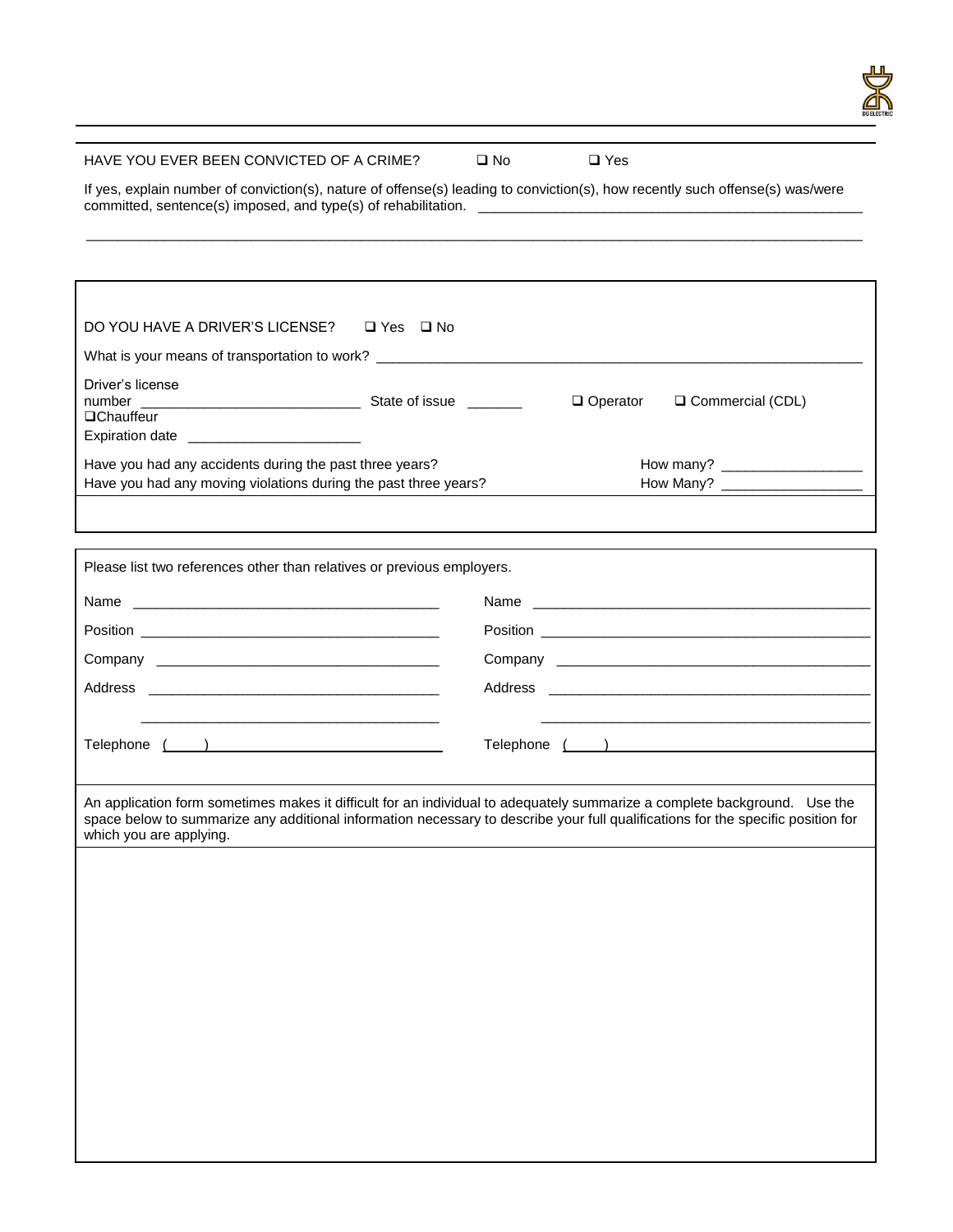

## HAVE YOU EVER BEEN CONVICTED OF A CRIME?  $\Box$  No  $\Box$  Yes

If yes, explain number of conviction(s), nature of offense(s) leading to conviction(s), how recently such offense(s) was/were committed, sentence(s) imposed, and type(s) of rehabilitation. \_\_\_\_\_\_\_\_\_\_\_\_\_\_\_\_\_\_\_\_\_\_\_\_\_\_\_\_\_\_\_\_\_\_\_\_\_\_\_\_\_\_\_\_\_\_\_\_\_

\_\_\_\_\_\_\_\_\_\_\_\_\_\_\_\_\_\_\_\_\_\_\_\_\_\_\_\_\_\_\_\_\_\_\_\_\_\_\_\_\_\_\_\_\_\_\_\_\_\_\_\_\_\_\_\_\_\_\_\_\_\_\_\_\_\_\_\_\_\_\_\_\_\_\_\_\_\_\_\_\_\_\_\_\_\_\_\_\_\_\_\_\_\_\_\_\_\_\_

| DO YOU HAVE A DRIVER'S LICENSE? □ Yes □ No                                                                                                                                                                                                                                               |                 |                  |
|------------------------------------------------------------------------------------------------------------------------------------------------------------------------------------------------------------------------------------------------------------------------------------------|-----------------|------------------|
| What is your means of transportation to work? __________________________________                                                                                                                                                                                                         |                 |                  |
| Driver's license<br><b>QChauffeur</b><br>Expiration date __________________________                                                                                                                                                                                                      | $\Box$ Operator | Commercial (CDL) |
| Have you had any accidents during the past three years?<br>Have you had any moving violations during the past three years?                                                                                                                                                               |                 |                  |
|                                                                                                                                                                                                                                                                                          |                 |                  |
|                                                                                                                                                                                                                                                                                          |                 |                  |
| Please list two references other than relatives or previous employers.                                                                                                                                                                                                                   |                 |                  |
|                                                                                                                                                                                                                                                                                          |                 |                  |
|                                                                                                                                                                                                                                                                                          |                 |                  |
|                                                                                                                                                                                                                                                                                          |                 |                  |
|                                                                                                                                                                                                                                                                                          |                 |                  |
| <u> 1989 - Johann John Stein, markin fan it ferstjer fan it ferstjer fan it ferstjer fan it ferstjer fan it fers</u>                                                                                                                                                                     |                 |                  |
| Telephone ( )                                                                                                                                                                                                                                                                            |                 |                  |
|                                                                                                                                                                                                                                                                                          |                 |                  |
| An application form sometimes makes it difficult for an individual to adequately summarize a complete background. Use the<br>space below to summarize any additional information necessary to describe your full qualifications for the specific position for<br>which you are applying. |                 |                  |
|                                                                                                                                                                                                                                                                                          |                 |                  |
|                                                                                                                                                                                                                                                                                          |                 |                  |
|                                                                                                                                                                                                                                                                                          |                 |                  |
|                                                                                                                                                                                                                                                                                          |                 |                  |
|                                                                                                                                                                                                                                                                                          |                 |                  |
|                                                                                                                                                                                                                                                                                          |                 |                  |
|                                                                                                                                                                                                                                                                                          |                 |                  |
|                                                                                                                                                                                                                                                                                          |                 |                  |
|                                                                                                                                                                                                                                                                                          |                 |                  |
|                                                                                                                                                                                                                                                                                          |                 |                  |
|                                                                                                                                                                                                                                                                                          |                 |                  |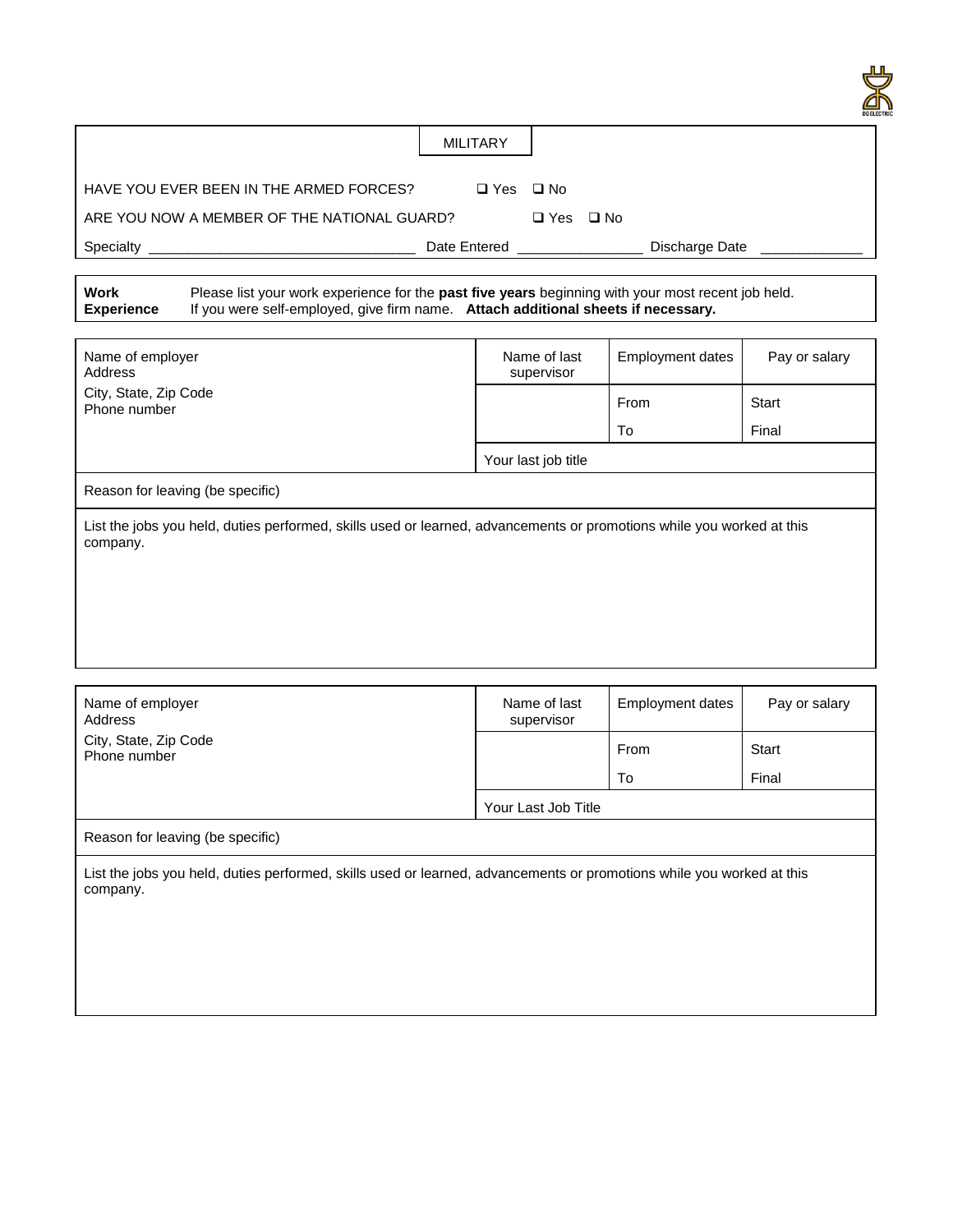|                                             |                      |               |              |                | ய<br><b>DG ELECTRI</b> |
|---------------------------------------------|----------------------|---------------|--------------|----------------|------------------------|
|                                             | <b>MILITARY</b>      |               |              |                |                        |
| HAVE YOU EVER BEEN IN THE ARMED FORCES?     | $\Box$ Yes $\Box$ No |               |              |                |                        |
| ARE YOU NOW A MEMBER OF THE NATIONAL GUARD? |                      | $\square$ Yes | $\square$ No |                |                        |
| Specialty                                   | Date Entered         |               |              | Discharge Date |                        |

| Work       |                                                                                   | Please list your work experience for the <b>past five years</b> beginning with your most recent job held. |
|------------|-----------------------------------------------------------------------------------|-----------------------------------------------------------------------------------------------------------|
| Experience | If you were self-employed, give firm name. Attach additional sheets if necessary. |                                                                                                           |

| Name of employer<br>Address                                                                                                       | Name of last<br>supervisor | <b>Employment dates</b> | Pay or salary |
|-----------------------------------------------------------------------------------------------------------------------------------|----------------------------|-------------------------|---------------|
| City, State, Zip Code<br>Phone number                                                                                             |                            | From                    | Start         |
|                                                                                                                                   |                            | To                      | Final         |
|                                                                                                                                   | Your last job title        |                         |               |
| Reason for leaving (be specific)                                                                                                  |                            |                         |               |
| List the jobs you held, duties performed, skills used or learned, advancements or promotions while you worked at this<br>company. |                            |                         |               |
|                                                                                                                                   |                            |                         |               |
|                                                                                                                                   |                            |                         |               |
|                                                                                                                                   |                            |                         |               |

| Name of employer<br>Address                                                                                                       | Name of last<br>supervisor | <b>Employment dates</b> | Pay or salary |
|-----------------------------------------------------------------------------------------------------------------------------------|----------------------------|-------------------------|---------------|
| City, State, Zip Code<br>Phone number                                                                                             |                            | From                    | Start         |
|                                                                                                                                   |                            | To                      | Final         |
|                                                                                                                                   | Your Last Job Title        |                         |               |
| Reason for leaving (be specific)                                                                                                  |                            |                         |               |
| List the jobs you held, duties performed, skills used or learned, advancements or promotions while you worked at this<br>company. |                            |                         |               |
|                                                                                                                                   |                            |                         |               |
|                                                                                                                                   |                            |                         |               |
|                                                                                                                                   |                            |                         |               |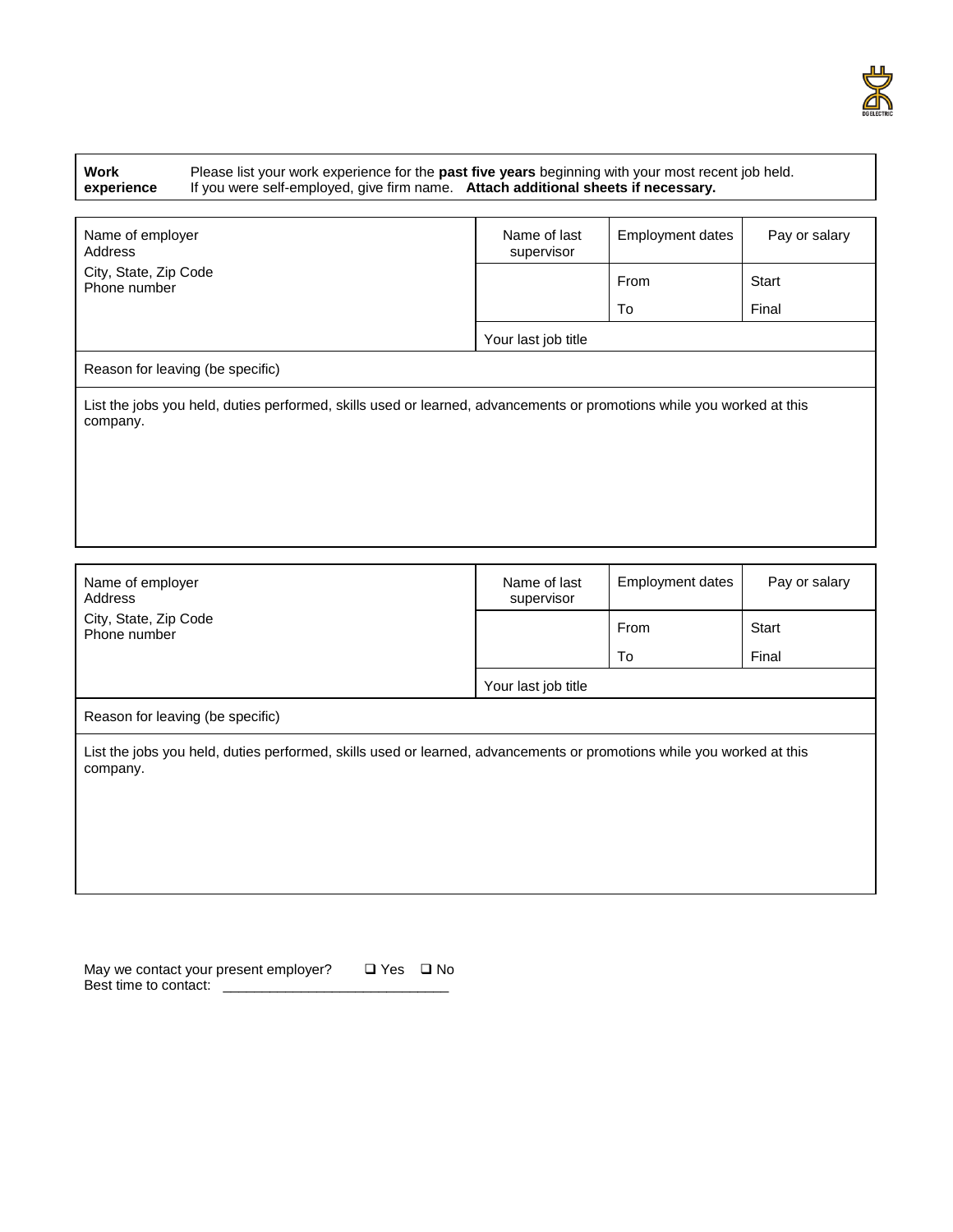

| Work       |
|------------|
| experience |

Please list your work experience for the **past five years** beginning with your most recent job held. If you were self-employed, give firm name. **Attach additional sheets if necessary.**

| Name of employer<br>Address                                                                                                       | Name of last<br>supervisor | <b>Employment dates</b> | Pay or salary |
|-----------------------------------------------------------------------------------------------------------------------------------|----------------------------|-------------------------|---------------|
| City, State, Zip Code<br>Phone number                                                                                             |                            | From                    | Start         |
|                                                                                                                                   |                            | To                      | Final         |
|                                                                                                                                   | Your last job title        |                         |               |
| Reason for leaving (be specific)                                                                                                  |                            |                         |               |
| List the jobs you held, duties performed, skills used or learned, advancements or promotions while you worked at this<br>company. |                            |                         |               |
|                                                                                                                                   |                            |                         |               |
|                                                                                                                                   |                            |                         |               |
|                                                                                                                                   |                            |                         |               |

| Name of employer<br>Address                                                                                                       | Name of last<br>supervisor | Employment dates | Pay or salary |
|-----------------------------------------------------------------------------------------------------------------------------------|----------------------------|------------------|---------------|
| City, State, Zip Code<br>Phone number                                                                                             |                            | From             | Start         |
|                                                                                                                                   |                            | To               | Final         |
|                                                                                                                                   | Your last job title        |                  |               |
| Reason for leaving (be specific)                                                                                                  |                            |                  |               |
| List the jobs you held, duties performed, skills used or learned, advancements or promotions while you worked at this<br>company. |                            |                  |               |

| May we contact your present employer? | □ Yes □ No |  |
|---------------------------------------|------------|--|
| Best time to contact:                 |            |  |